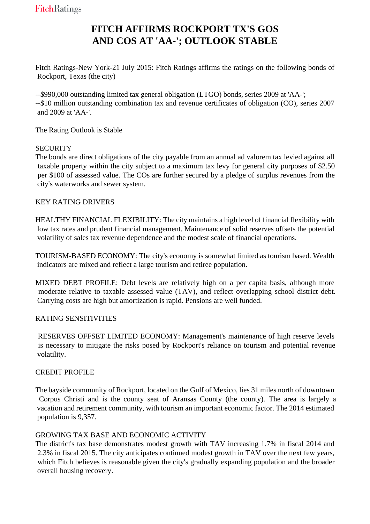# **FITCH AFFIRMS ROCKPORT TX'S GOS AND COS AT 'AA-'; OUTLOOK STABLE**

Fitch Ratings-New York-21 July 2015: Fitch Ratings affirms the ratings on the following bonds of Rockport, Texas (the city)

--\$990,000 outstanding limited tax general obligation (LTGO) bonds, series 2009 at 'AA-'; --\$10 million outstanding combination tax and revenue certificates of obligation (CO), series 2007 and 2009 at 'AA-'.

The Rating Outlook is Stable

### **SECURITY**

The bonds are direct obligations of the city payable from an annual ad valorem tax levied against all taxable property within the city subject to a maximum tax levy for general city purposes of \$2.50 per \$100 of assessed value. The COs are further secured by a pledge of surplus revenues from the city's waterworks and sewer system.

KEY RATING DRIVERS

HEALTHY FINANCIAL FLEXIBILITY: The city maintains a high level of financial flexibility with low tax rates and prudent financial management. Maintenance of solid reserves offsets the potential volatility of sales tax revenue dependence and the modest scale of financial operations.

TOURISM-BASED ECONOMY: The city's economy is somewhat limited as tourism based. Wealth indicators are mixed and reflect a large tourism and retiree population.

MIXED DEBT PROFILE: Debt levels are relatively high on a per capita basis, although more moderate relative to taxable assessed value (TAV), and reflect overlapping school district debt. Carrying costs are high but amortization is rapid. Pensions are well funded.

### RATING SENSITIVITIES

 RESERVES OFFSET LIMITED ECONOMY: Management's maintenance of high reserve levels is necessary to mitigate the risks posed by Rockport's reliance on tourism and potential revenue volatility.

### CREDIT PROFILE

The bayside community of Rockport, located on the Gulf of Mexico, lies 31 miles north of downtown Corpus Christi and is the county seat of Aransas County (the county). The area is largely a vacation and retirement community, with tourism an important economic factor. The 2014 estimated population is 9,357.

### GROWING TAX BASE AND ECONOMIC ACTIVITY

The district's tax base demonstrates modest growth with TAV increasing 1.7% in fiscal 2014 and 2.3% in fiscal 2015. The city anticipates continued modest growth in TAV over the next few years, which Fitch believes is reasonable given the city's gradually expanding population and the broader overall housing recovery.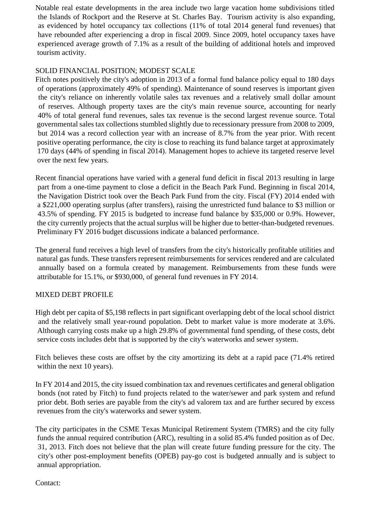Notable real estate developments in the area include two large vacation home subdivisions titled the Islands of Rockport and the Reserve at St. Charles Bay. Tourism activity is also expanding, as evidenced by hotel occupancy tax collections (11% of total 2014 general fund revenues) that have rebounded after experiencing a drop in fiscal 2009. Since 2009, hotel occupancy taxes have experienced average growth of 7.1% as a result of the building of additional hotels and improved tourism activity.

## SOLID FINANCIAL POSITION; MODEST SCALE

Fitch notes positively the city's adoption in 2013 of a formal fund balance policy equal to 180 days of operations (approximately 49% of spending). Maintenance of sound reserves is important given the city's reliance on inherently volatile sales tax revenues and a relatively small dollar amount of reserves. Although property taxes are the city's main revenue source, accounting for nearly 40% of total general fund revenues, sales tax revenue is the second largest revenue source. Total governmental sales tax collections stumbled slightly due to recessionary pressure from 2008 to 2009, but 2014 was a record collection year with an increase of 8.7% from the year prior. With recent positive operating performance, the city is close to reaching its fund balance target at approximately 170 days (44% of spending in fiscal 2014). Management hopes to achieve its targeted reserve level over the next few years.

Recent financial operations have varied with a general fund deficit in fiscal 2013 resulting in large part from a one-time payment to close a deficit in the Beach Park Fund. Beginning in fiscal 2014, the Navigation District took over the Beach Park Fund from the city. Fiscal (FY) 2014 ended with a \$221,000 operating surplus (after transfers), raising the unrestricted fund balance to \$3 million or 43.5% of spending. FY 2015 is budgeted to increase fund balance by \$35,000 or 0.9%. However, the city currently projects that the actual surplus will be higher due to better-than-budgeted revenues. Preliminary FY 2016 budget discussions indicate a balanced performance.

The general fund receives a high level of transfers from the city's historically profitable utilities and natural gas funds. These transfers represent reimbursements for services rendered and are calculated annually based on a formula created by management. Reimbursements from these funds were attributable for 15.1%, or \$930,000, of general fund revenues in FY 2014.

### MIXED DEBT PROFILE

High debt per capita of \$5,198 reflects in part significant overlapping debt of the local school district and the relatively small year-round population. Debt to market value is more moderate at 3.6%. Although carrying costs make up a high 29.8% of governmental fund spending, of these costs, debt service costs includes debt that is supported by the city's waterworks and sewer system.

Fitch believes these costs are offset by the city amortizing its debt at a rapid pace (71.4% retired within the next 10 years).

In FY 2014 and 2015, the city issued combination tax and revenues certificates and general obligation bonds (not rated by Fitch) to fund projects related to the water/sewer and park system and refund prior debt. Both series are payable from the city's ad valorem tax and are further secured by excess revenues from the city's waterworks and sewer system.

The city participates in the CSME Texas Municipal Retirement System (TMRS) and the city fully funds the annual required contribution (ARC), resulting in a solid 85.4% funded position as of Dec. 31, 2013. Fitch does not believe that the plan will create future funding pressure for the city. The city's other post-employment benefits (OPEB) pay-go cost is budgeted annually and is subject to annual appropriation.

Contact: